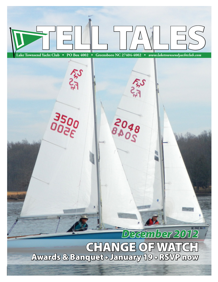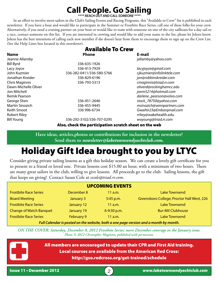## **Call People. Go Sailing**

*\*\*\*\* REACH OUT AND CALL SOMEONE \*\*\*\**

In an effort to involve more sailors in the Club's Sailing Events and Racing Programs, this "Available to Crew" list is published in each newsletter. If you have a boat and would like to participate in the Summer or Frostbite Race Series, call one of these folks for your crew. Alternatively, if you need a cruising partner on your boat or would like to team with someone on one of the city sailboats for a day sail or a race, contact someone on this list. If you are interested in crewing and would like to add your name to the list, please let Joleen know. Joleen has the best intentions of calling each new member if she doesn't hear from them to encourage them to sign up on the Crew List. (See the Help Lines box located in this newsletter).

| <b>Available To Crew</b> |  |
|--------------------------|--|
| Phone                    |  |

| <b>Name</b>          | <b>Phone</b>              | E-mail                     |
|----------------------|---------------------------|----------------------------|
| Jeanne Allamby       |                           | jallamby@yahoo.com         |
| Bill Byrd            | 336-635-1926              |                            |
| Lacy Joyce           | 336-413-7929              | lacyjoyce@gmail.com        |
| John Kuzmier         | 336-282-0411/336-580-5766 | cjkuzmier@infolinktele.com |
| Jonathan Kreider     | 336-829-6196              | jon@robbinskreider.com     |
| Chris Maginnis       | 336-793-5313              | cmaginnis@triad.rr.com     |
| Dawn-Michelle Oliver |                           | oliverd@rockinghamcc.edu   |
| Jon Mitchell         |                           | jonm5214@hotmail.com       |
| Remik Pearson        |                           | darlene_pearson@volvo.com  |
| George Shen          | 336-451-2646              | stock_78750@yahoo.com      |
| Martin Sinozich      | 336-455-9445              | msinozich@vennpartners.com |
| Keith Smoot          | 336 996-6734              | Gwaihir23@Embargmail.com   |
| <b>Robert Riley</b>  |                           | rriley@wakehealth.edu      |
| <b>Bill Young</b>    | 336-292-3102/336-707-0295 | woyoung@triad.rr.com       |
|                      |                           |                            |

Also, check the participation scratch sheet on the web

**Have ideas, articles,photos or contributions for inclusion in the newsletter? Send them to** *newsletter@laketownsendyachtclub.com.*

# Holiday Gift Idea brought to you by LTYC

Consider giving private sailing lessons as a gift this holiday season. We can create a lovely gift certificate for you to present to a friend or loved one. Private lessons cost \$15.00 an hour, with a minimum of two hours. There are many great sailors in the club, willing to give lessons. All proceeds go to the club. Sailing lessons, the gift that keeps on giving! Contact Susan Cole at *sscole@triad.rr.com*.

|                                |                   | <b>UPCOMING EVENTS</b> |                                                                                                    |
|--------------------------------|-------------------|------------------------|----------------------------------------------------------------------------------------------------|
| <b>Frostbite Race Series</b>   | December 8        | 11 a.m.                | <b>Lake Townsend</b>                                                                               |
| <b>Board Meeting</b>           | January 3         | 5:45 p.m.              | Greensboro College; Proctor Hall West, 226                                                         |
| <b>Frostbite Race Series</b>   | January 12        | $11$ a.m.              | <b>Lake Townsend</b>                                                                               |
| <b>Change of Watch Banquet</b> | January 19        | 6-9:30 p.m.            | <b>Bur-Mil Clubhouse</b>                                                                           |
| <b>Frostbite Race Series</b>   | <b>February 9</b> | 11 a.m.                | <b>Lake Townsend</b>                                                                               |
|                                |                   |                        | Full Color dentence and continued and help the deal of the model constant and concertable in model |

*Full Calendar is posted on the website, both a one page version and a month by month.*

*ON THE COVER: Saturday, December 8, 2012 Frostbite Series; more December coverage in the January issue. Photo © 2012 Christopher Maginnis, published with permission.*

> All members are encouraged to update their CPR and First Aid training. Local courses are available from the American Red Cross: http://gso.redcross.org/get-trained/schedule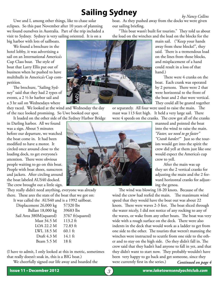# **Sailing Sydney** *by Nancy Collins*

Uwe and I, among other things, like to chase solar eclipses. So this past November after 10 years of planning we found ourselves in Australia. Part of the trip included a visit to Sydney. Sydney is very sailing oriented. It is on a

big harbor with lots of sailboats.

We found a brochure in the hotel lobby, it was advertising a sail on an International America's Cup Class boat. The style of boat that Larry Ellis put out of business when he pushed to have multihulls in America's Cup competition.

The brochure, "Sailing Sydney" said that they had 2 types of events, a 2 ½ hr harbor sail and a 3 hr sail on Wednesdays where

they raced. We looked at the wind and Wednesday the day of the race looked promising. So Uwe booked our spot.

It loaded on the other side of the Sydney Harbor Bridge in Darling harbor. All we found was a sign. About 5 minutes before our departure, we watched the boat come in. It had been modified to have a motor. It circled once around close to the loading dock, to get everyone's attention. There were obvious people waiting to go on this boat. People with boat shoes, sunscreen and jackets. After circling around the boat labeled AUS40 docked. The crew brought out a little sign.

They really didn't need anything, everyone was already there. These ares the stats of the boat that we got on: It was called the AUS40 and is a 1992 sailboat.

| t was cancu the Trop To and is a T772 samboat |                   |
|-----------------------------------------------|-------------------|
| Displacement 26,000 kg                        | 57320 lbs         |
| Ballast 18,000 kg                             | 39683 lbs         |
| Sail Area 380M(squared)                       | 3767 ft(squared)  |
| Mast 34.5 M                                   | 113.2 ft          |
| LOA 22.2 M                                    | $72.83$ ft        |
| LWL 18.5 M                                    | $60.1 \text{ ft}$ |
| Draft 4.3 M                                   | $14.1 \text{ ft}$ |
| Beam 5.5 M                                    | $18f$ t           |

(I have to admit, I only looked at this in metric, sometimes that really doesn't soak in, this is a BIG boat.)

We cheerfully signed our life away and boarded the

boat. As they pushed away from the docks we were given our sailing briefing.

"This boat wasn't built for tourists." They told us about the load on the winches and the load on the blocks for the

main sail. ("Keep your hands away from these blocks!", they said. There is a tremendous load on the lines from those blocks, and misplacement of a hand could result in a loss of that hand.)

There were 4 cranks on the boat. Each crank was operated by 2 persons. There were 2 that were horizontal to the front of the boat and 2 that were vertical. They could all be geared together

manned and pointed the boat into the wind to raise the main. *"Faster, we need to go faster"* 

*"Crank harder!"* Just so the tourists would get into the spirit the crew did yell at them just like one would expect the America's cup

or separately. All four were used to raise the main. The mast was 113 feet high. It held a very large sail. There were 4 speeds on the cranks. The crew got all of the cranks

crew to yell.



After the main was up they set the 2 vertical cranks for adjusting the main and the 2 forward horizontal cranks for adjusting the genoa. The wind was blowing 18-20 knots. Because of the wind the crew had reefed the main. The maximum wind

*Continued on page 4* speed that they would have the boat out was about 22 knots. There were waves 2-3 feet. The boat sliced through the water nicely, I did not notice of any rocking to any of the waves, or wake from any other boats. The boat was very wide with a rough surface on the deck. There were also indents in the deck that would work as a ladder to get from one side to the other. The tourists that weren't manning the winches were instructed to scuttle from one side to the other and to stay on the high side. (So they didn't fall in. The crew said that they hadn't had anyone to fall in yet, and that they didn't want to start now. They probably wouldn't have been very happy to go back and get someone, since they were currently first in the series.)

#### Issue 11 • December 2012 3 *www.laketownsendyachtclub.com*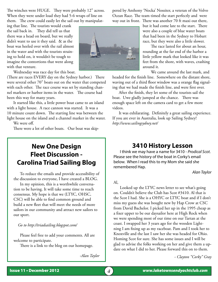The winches were HUGE. They were probably 12" across. When they were under load they had 5-6 wraps of line on them. The crew could easily let the sail out by manipulat-

ing that line. The tourists would crank the sail back in. They did tell us that there was a head on board, but we really didn't want to use it they said. & as the boat was heeled over with the rail almost in the water and with the tourists straining to hold on, it wouldn't be tough to imagine the contortions that went along with that venture.

Wednesday was race day for this boat.

(There are races EVERY day on the Sydney harbor.) There were several other 70" boats out on the water that competed with each other. The race course was set by standing channel markers or harbor items in the water. The course had been this way for many years.

It started like this, a little power boat came to an island with a light house. A race cannon was started. It was a 10 minute count down. The starting line was between the light house on the island and a channel marker in the water. We were off.

There were a lot of other boats. Our boat was skip-

## **New One Design Fleet Discussion - Carolina Triad Sailing Blog**

To reduce the emails and provide accessibility of the discussion to everyone, I have created a BLOG.

In my opinion, this is a worthwhile conversation to be having. It will take some time to reach consensus. My hope is that we (LTYC, OHSC, CSC) will be able to find common ground and build a new fleet that will meet the needs of more sailors in our community and attract new sailors to our sport.

 *Go to http://triadsailing.blogspot.com/*

Please feel free to add your comments. All are welcome to participate.

There is a link to the blog on our homepage.

*-Alan Taylor*

pered by Anthony 'Nocka' Nossiter, a veteran of the Volvo Ocean Race. The team timed the start perfectly and were way out in front. There was another 70 ft maxi out there,



but it had come late to the start. There were also a couple of blue water boats that had been in the Sydney to Hobart race, but they were also a little slower.

The race lasted for about an hour, rounding at the far end of the harbor a little yellow mark that looked like it was feet from the shore, with waves, crashing around it.

We came around the last mark, and

headed for the finish line. Somewhere on the distant shore, waving out of a third floor window was a orange flag signaling that we had made the finish line, and were first over.

After the finish, they let some of the tourists sail the boat. Uwe gladly jumped at the chance. There was enough space left on the camera card to get a few more videos.

It was exhilarating. Definitely a great sailing experience. If you are ever in Australia, look up Sailing Sydney! *http://www.sailingsydney.net/*

### **3410 History Lesson**

I think we may have a name for 3410 - *Prodical Scot*. Please see the history of the boat in Corky's email below. When I read this to my Mom she said she remembered Hap.

*Alan Taylor*

Al,

Looked up the LTYC news letter to see what's going on. Couldn't believe the Club has Scot #3410. Al that is the Scot I had. She is a OHYC or LTYC boat and if I don't miss my guess she was bought new by Hap Crow at CSC from David Bachelor. I picked her up in the 1995 cheap as a fixer upper to be our daysailor here at High Rock when we were spending most of our time on our Tartan at the coast. I swapped her 3 years ago for the wooden Lightning I am fixing up as my raceboat. Pam and I took her to Knoxville and the last I saw her she was headed for Ohio. Homing Scot for sure. She has some issues and I will be glad to advise the folks working on her and give them a update on what I did to her. Please forward this on to them.

 *- Clayton "Corky" Gray*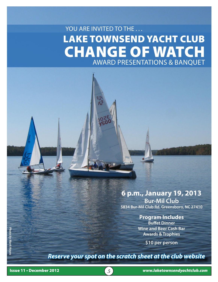# LAKE TOWNSEND YACHT CLUB CHANGE OF WATCH Award Presentations & Banquet YOU ARE INVITED TO THE ...

## **6 p.m., January 19, 2013**

**Bur-Mil Club 5834 Bur-Mil Club Rd. Greensboro, NC 27410** 

#### **Program Includes**

**Buffet Dinner Wine and Beer Cash Bar Awards & Trophies**

**\$10 per person** 

*Reserve your spot on the scratch sheet at the club website*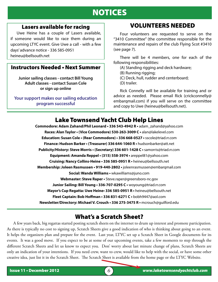## NOTICES

#### Lasers available for racing

 Uwe Heine has a couple of Lasers available, if someone would like to race them during an upcoming LTYC event. Give Uwe a call - with a few days' advance notice - 336 585-0951 heineu@bellsouth.net

#### Instructors Needed • Next Summer

**Junior sailing classes - contact Bill Young Adult classes - contact Susan Cole or sign up online**

**Your support makes our sailing education program successful**

### VOLUNTEERS NEEDED

Four volunteers are requested to serve on the "3410 Committee" (the committee responsible for the maintenance and repairs of the club Flying Scot #3410 (see page 7).

There will be 4 members, one for each of the following responsibilities:

(A) Standing rigging and deck hardware;

(B) Running rigging;

- (C) Deck, hull, rudder and centerboard;
- (D) trailer.

Rick Connelly will be available for training and or advice as needed. Please email Rick (crickconnelly@ embarqmail.com) if you will serve on the committee and copy to Uwe (heineu@bellsouth.net).

## Lake Townsend Yacht Club Help Lines

**Commodore: Adam Zahand/Phil Leonard • 336 543-4942 R •** adam\_zahand@yahoo.com **Races: Alan Taylor • (Vice Commodore) 530-263-3009 C •** alan@lakelevel.com **Education: Susan Cole • (Rear Commodore) • 336 668-0527 •** sscole@triad.rr.com **Finance: Hudson Barker • (Treasurer) 336 644-1060 R •** hudsonbarker@att.net **Publicity/History: Steve Morris • (Secretary) 336 601-1428 C •** samorris@triad.rr.com **Equipment: Amanda Reppel • (315) 558-3974 •** areppel81@yahoo.com **Cruising: Nancy Collins-Heine • 336 585-0951 R •** heineu@bellsouth.net **Membership: Joleen Rasmussen • 919-440-2802 •** joleenrasmussen@embarqmail.com **Social: Wanda Williams •** wkawilliams@juno.com **Webmaster: Steve Raper •** Steve.raper@greensboro-nc.gov **Junior Sailing: Bill Young • 336-707-0295 C •** woyoung@triad.rr.com **Mayor's Cup Regatta: Uwe Heine• 336 585-0951 R •** heineu@bellsouth.net **Fleet Captain: Bob Hoffman • 336 831-6271 C •** bobh9447@aol.com **Newsletter/Directory: Michael V. Crouch • 336 275-3475 R •** mcrouch@guilford.edu

## What's a Scratch Sheet?

 $\overline{a}$ 

A few years back, big regattas started posting scratch sheets on the internet to drum up interest and promote participation. As there is typically no cost to signing up, Scratch Sheets give a good indication of who is thinking about going to an event. It helps the organizers plan and prepare for the event. Last year, LTYC set up a Scratch Sheet in Google documents for its events. It was a good move. If you expect to be at some of our upcoming events, take a few moments to step through the different Scratch Sheets and let us know to expect you. Don' worry about last minute change of plans, Scratch Sheets are only an indication of your intentions. If you need crew, want to crew, would like to help with the social, or have some other creative idea, just list it in the Scratch Sheet. The Scratch Sheet is available from the home page or the LTYC Website.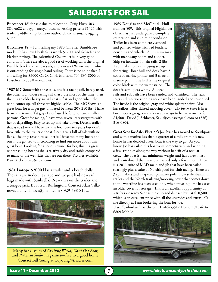## SAILBOATS FOR SAIL

**Buccaneer 18'** for sale due to relocation. Craig Huey 303- 884-4682 chueygman@yahoo.com Asking price is \$1325 with trailer, paddle, 2 hp Johnson outboard, and manuals, rigging guides.

**Buccaneer 18'** - I am selling my 1980 Chrysler BumbleBee model. It has new North Sails worth \$1700, and Schaefer and Harken fittings. The galvanized Cox trailer is in very good condition. There are also a good set of working sails; the original Bumble black and yellow sails, and a new 60% size main, which is outstanding for single-hand sailing. There is no spinnaker. I am selling for \$3000 OBO. Chris Munson, 703-895-8006 or kayschrism2008@verizon.net.

**1987 MC Scow** with three sails, one is a racing sail, barely used, the other is an older racing sail that I use most of the time, then there is an older heavy air sail that is flat and good when the wind comes up. All three are highly usable. The MC Scow is a great boat for a larger guy, I floated between 205-250 lbs (I have heard the term a "fat guys Laser" used before), or two smaller persons. Great for racing, I have won several races/regattas with her or daysailing. Easy to set up and take down. Decent trailer that is road ready. I have had the boat over ten years but don't have title to the trailer or boat. I can give a bill of sale with no liens. The only reason to sell her is I have too many boats and one must go. Go to mcscow.org to find out more about this great boat. Looking for a serious owner for her, this is a great winter sailing boat as she is relatively dry and stable compared to many of the wet rides that are out there. Pictures available. Bart Streb- bstreb@nc.rr.com

**1981 Isotope \$2000** Has a trailer and a beach dolly. The sails are in decent shape and we just had new sail bags made with Sunbrella. New tires on the trailer and a tongue jack. Boat is in Burlington. Contact Alan Villanova, alan.villanova@gmail.com • 929-698-8152.



Many back issues of *Cruising World*, *Good Old Boat*, and *Practical Sailor* magazines—free to a good home. Contact Bill Young at woyoung@triad.rr.com.

**1969 Douglas and McCloud** - Hull number 509. This original Highlander classic has just undergone a complete restoration and is in mint condition. Trailer has been completely sanded and painted white with red fenders; new tires and wheels. Aluminum mast with mahogany boom and rudder. Ship set includes 3 main sails, 2 jibs, 1 spinnaker, plus all rigging set up for racing. Boat hull and deck have 2 coats of marine primer and 3 coats of marine paint. The hull is the original color black with red water stripe. The deck is semi-gloss white. All deck



rails and rub rails have been sanded and varnished. The teak seats and interior running teak have been sanded and teak oiled. The inside is the original gray and white splatter paint. Also has sailors tailor-skirted mooring cover. *The Black Pearl* is in a Greensboro garage on trailer ready to go to her new owner for \$4,500. David J. Schlosser, Sr., djschlosser@aol.com or (336) 316-0804.

**Great Scot for Sale.** Fleet 27's Joe Price has moved to Southport and with a marina less than a quarter of a mile from his new home he has decided a keel boat is the way to go. As you know Joe has sailed this boat very competitively and winning a few trophies along the way without benefit of a regular crew. The boat is near minimum weight and has a new mast and centerboard that have been sailed only a few times. There is a 2011 suite of MAD main and jib that have been sailed sparingly plus a suite of North's good for club racing. There are 3 spinnakers and a tapered spinnaker pole. Low style aluminum trailer and the North trailering/mooring cover that comes down to the waterline has been used only when traveling. He has used an older cover for storage. This is an excellent opportunity at a truly race ready Scot at the club and district level at \$10,500 which is an excellent price with all the upgrades and extras. Call me directly as I am brokering the boat for Joe.

Dave "Sailordave" Batchelor, 919-467-3512 Home • 919-414- 6809 Mobile

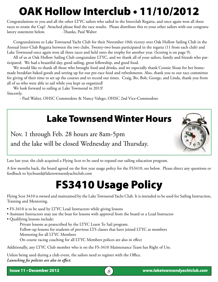# OAK Hollow Interclub • 11/10/2012

Congratulations to you and all the other LTYC sailors who sailed in the Interclub Regatta, and once again won all three races to retain the Cup! Attached please find the race results. Please distribute this to your other sailors with our congratulatory statement below. -Thanks, Paul Walter

Congratulations to Lake Townsend Yacht Club for their November 10th victory over Oak Hollow Sailing Club in the Annual Inter-Club Regatta between the two clubs. Twenty-two boats participated in the regatta (11 from each club) and Lake Townsend once again won all three races and held onto the trophy for another year. (Scoring is on page 9).

All of us at Oak Hollow Sailing Club congratulate LTYC, and we thank all of your sailors, family and friends who participated. We had a beautiful day, good sailing, great fellowship, and good food.

We would like to thank all those who brought food and drinks, and we especially thank Connie Sloan for her homemade breakfast baked goods and setting up for our pre-race food and refreshments. Also, thank you to our race committee for giving of their time to set up the courses and to record our times. Craig, Bo, Bob, George, and Linda, thank you from all of us who were able to sail while you kept us organized!

We look forward to sailing at Lake Townsend in 2013! Sincerely,

- Paul Walter, OHSC Commodore & Nancy Valego, OHSC 2nd Vice-Commodore

# Lake Townsend Winter Hours

Nov. 1 through Feb. 28 hours are 8am-5pm and the lake will be closed Wednesday and Thursday.



Late last year, the club acquired a Flying Scot to be used to expand our sailing education program.

A few months back, the board agreed on the first year usage policy for the FS3410, see below. Please direct any questions or feedback to ltycboard@laketownsendyachtclub.com

# FS3410 Usage Policy

Flying Scot 3410 is owned and maintained by the Lake Townsend Yacht Club. It is intended to be used for Sailing Instruction, Training and Mentoring.

- FS-3410 is to be used by LTYC Lead Instructors while giving lessons
- Assistant Instructors may use the boat for lessons with approval from the board or a Lead Instructor
- Qualifying lessons include:

Private lessons as praescribed by the LTYC Learn To Sail program.

Follow-up lessons for students of previous LTS classes that have joined LTYC as members Mentoring for all LTYC Members

On course racing coaching for all LTYC Members polices are also in effect

Additionally, any LTYC Club member who is on the FS-3410 Maintenance Team has Right of Use.

Unless being used during a club event, the sailors need to register with the Office. *Launching fee policies are also in effect.*